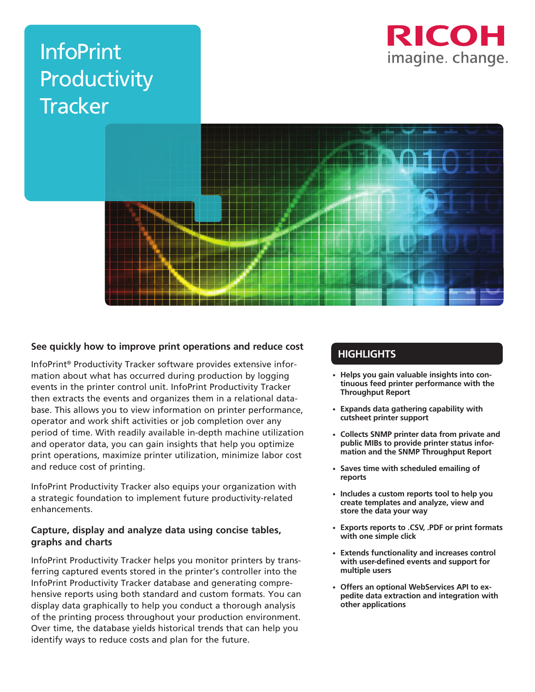## InfoPrint **Productivity Tracker**





#### **See quickly how to improve print operations and reduce cost**

InfoPrint® Productivity Tracker software provides extensive information about what has occurred during production by logging events in the printer control unit. InfoPrint Productivity Tracker then extracts the events and organizes them in a relational database. This allows you to view information on printer performance, operator and work shift activities or job completion over any period of time. With readily available in-depth machine utilization and operator data, you can gain insights that help you optimize print operations, maximize printer utilization, minimize labor cost and reduce cost of printing.

InfoPrint Productivity Tracker also equips your organization with a strategic foundation to implement future productivity-related enhancements.

#### **Capture, display and analyze data using concise tables, graphs and charts**

InfoPrint Productivity Tracker helps you monitor printers by transferring captured events stored in the printer's controller into the InfoPrint Productivity Tracker database and generating comprehensive reports using both standard and custom formats. You can display data graphically to help you conduct a thorough analysis of the printing process throughout your production environment. Over time, the database yields historical trends that can help you identify ways to reduce costs and plan for the future.

### **HIGHLIGHTS**

- **Helps you gain valuable insights into continuous feed printer performance with the Throughput Report**
- **Expands data gathering capability with cutsheet printer support**
- **Collects SNMP printer data from private and public MIBs to provide printer status information and the SNMP Throughput Report**
- **Saves time with scheduled emailing of reports**
- **Includes a custom reports tool to help you create templates and analyze, view and store the data your way**
- **Exports reports to .CSV, .PDF or print formats with one simple click**
- **Extends functionality and increases control**  with user-defined events and support for **multiple users**
- **Offers an optional WebServices API to expedite data extraction and integration with other applications**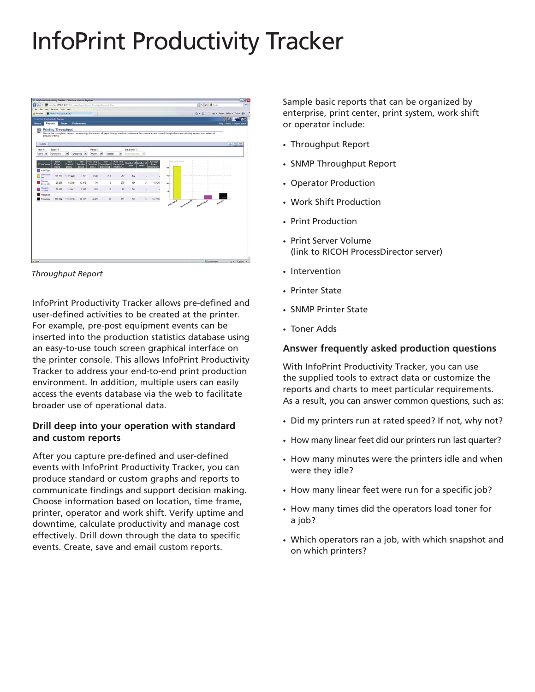# InfoPrint Productivity Tracker



*Throughput Report*

InfoPrint Productivity Tracker allows pre-defined and user-defined activities to be created at the printer. For example, pre-post equipment events can be inserted into the production statistics database using an easy-to-use touch screen graphical interface on the printer console. This allows InfoPrint Productivity Tracker to address your end-to-end print production environment. In addition, multiple users can easily access the events database via the web to facilitate broader use of operational data.

#### **Drill deep into your operation with standard and custom reports**

After you capture pre-defined and user-defined events with InfoPrint Productivity Tracker, you can produce standard or custom graphs and reports to communicate findings and support decision making. Choose information based on location, time frame, printer, operator and work shift. Verify uptime and downtime, calculate productivity and manage cost effectively. Drill down through the data to specific events. Create, save and email custom reports.

Sample basic reports that can be organized by enterprise, print center, print system, work shift or operator include:

- • Throughput Report
- • SNMP Throughput Report
- • Operator Production
- • Work Shift Production
- Print Production
- • Print Server Volume (link to RICOH ProcessDirector server)
- Intervention
- • Printer State
- • SNMP Printer State
- Toner Adds

#### **Answer frequently asked production questions**

With InfoPrint Productivity Tracker, you can use the supplied tools to extract data or customize the reports and charts to meet particular requirements. As a result, you can answer common questions, such as:

- Did my printers run at rated speed? If not, why not?
- How many linear feet did our printers run last quarter?
- How many minutes were the printers idle and when were they idle?
- How many linear feet were run for a specific job?
- How many times did the operators load toner for a job?
- Which operators ran a job, with which snapshot and on which printers?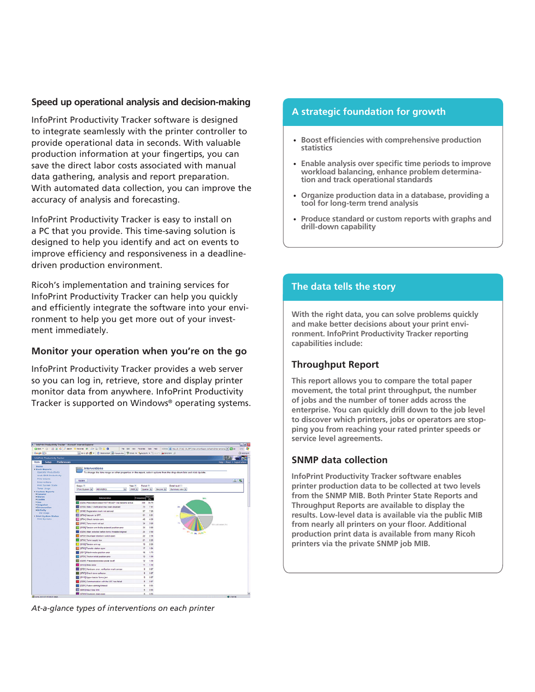#### **Speed up operational analysis and decision-making**

InfoPrint Productivity Tracker software is designed to integrate seamlessly with the printer controller to provide operational data in seconds. With valuable production information at your fingertips, you can save the direct labor costs associated with manual data gathering, analysis and report preparation. With automated data collection, you can improve the accuracy of analysis and forecasting.

InfoPrint Productivity Tracker is easy to install on a PC that you provide. This time-saving solution is designed to help you identify and act on events to improve efficiency and responsiveness in a deadlinedriven production environment.

Ricoh's implementation and training services for InfoPrint Productivity Tracker can help you quickly and efficiently integrate the software into your environment to help you get more out of your investment immediately.

#### **Monitor your operation when you're on the go**

InfoPrint Productivity Tracker provides a web server so you can log in, retrieve, store and display printer monitor data from anywhere. InfoPrint Productivity Tracker is supported on Windows® operating systems.



*At-a-glance types of interventions on each printer*

#### **A strategic foundation for growth**

- **• Boost efficiencies with comprehensive production statistics**
- **• Enable analysis over specific time periods to improve workload balancing, enhance problem determination and track operational standards**
- **• Organize production data in a database, providing a tool for long-term trend analysis**
- **• Produce standard or custom reports with graphs and drill-down capability**

### **The data tells the story**

**With the right data, you can solve problems quickly and make better decisions about your print environment. InfoPrint Productivity Tracker reporting capabilities include:**

### **Throughput Report**

**This report allows you to compare the total paper movement, the total print throughput, the number of jobs and the number of toner adds across the enterprise. You can quickly drill down to the job level to discover which printers, jobs or operators are stopping you from reaching your rated printer speeds or service level agreements.**

#### **SNMP data collection**

**InfoPrint Productivity Tracker software enables printer production data to be collected at two levels from the SNMP MIB. Both Printer State Reports and Throughput Reports are available to display the results. Low-level data is available via the public MIB from nearly all printers on your floor. Additional production print data is available from many Ricoh printers via the private SNMP job MIB.**